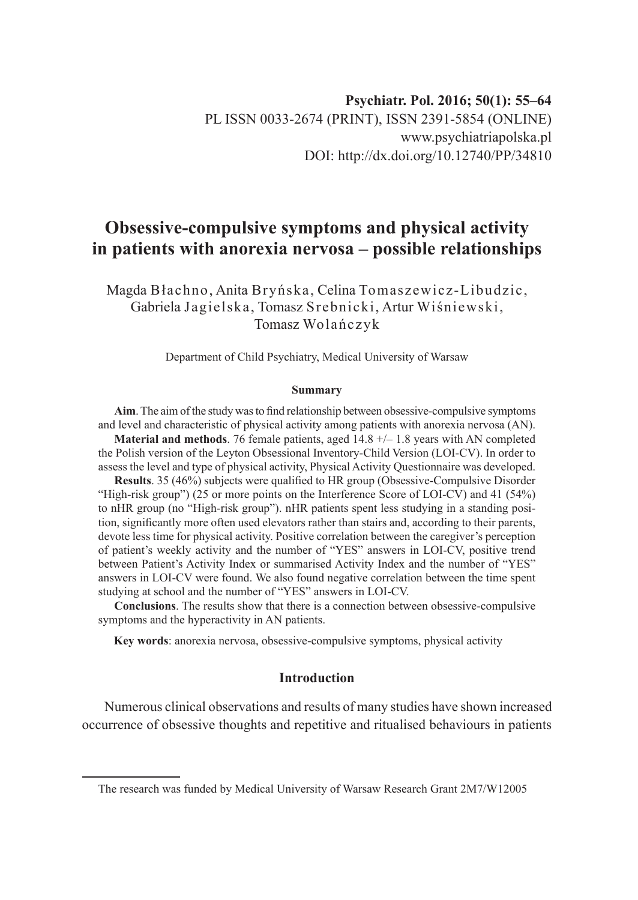# **Obsessive-compulsive symptoms and physical activity in patients with anorexia nervosa – possible relationships**

Magda Błachno, Anita Bryńska, Celina Tomaszewicz-Libudzic, Gabriela Jagielska, Tomasz Srebnicki, Artur Wiśniewski, Tomasz Wolańczyk

Department of Child Psychiatry, Medical University of Warsaw

#### **Summary**

**Aim**. The aim of the study was to find relationship between obsessive-compulsive symptoms and level and characteristic of physical activity among patients with anorexia nervosa (AN).

**Material and methods**. 76 female patients, aged 14.8 +/– 1.8 years with AN completed the Polish version of the Leyton Obsessional Inventory-Child Version (LOI-CV). In order to assess the level and type of physical activity, Physical Activity Questionnaire was developed.

**Results**. 35 (46%) subjects were qualified to HR group (Obsessive-Compulsive Disorder "High-risk group") (25 or more points on the Interference Score of LOI-CV) and 41 (54%) to nHR group (no "High-risk group"). nHR patients spent less studying in a standing position, significantly more often used elevators rather than stairs and, according to their parents, devote less time for physical activity. Positive correlation between the caregiver's perception of patient's weekly activity and the number of "YES" answers in LOI-CV, positive trend between Patient's Activity Index or summarised Activity Index and the number of "YES" answers in LOI-CV were found. We also found negative correlation between the time spent studying at school and the number of "YES" answers in LOI-CV.

**Conclusions**. The results show that there is a connection between obsessive-compulsive symptoms and the hyperactivity in AN patients.

**Key words**: anorexia nervosa, obsessive-compulsive symptoms, physical activity

# **Introduction**

Numerous clinical observations and results of many studies have shown increased occurrence of obsessive thoughts and repetitive and ritualised behaviours in patients

The research was funded by Medical University of Warsaw Research Grant 2M7/W12005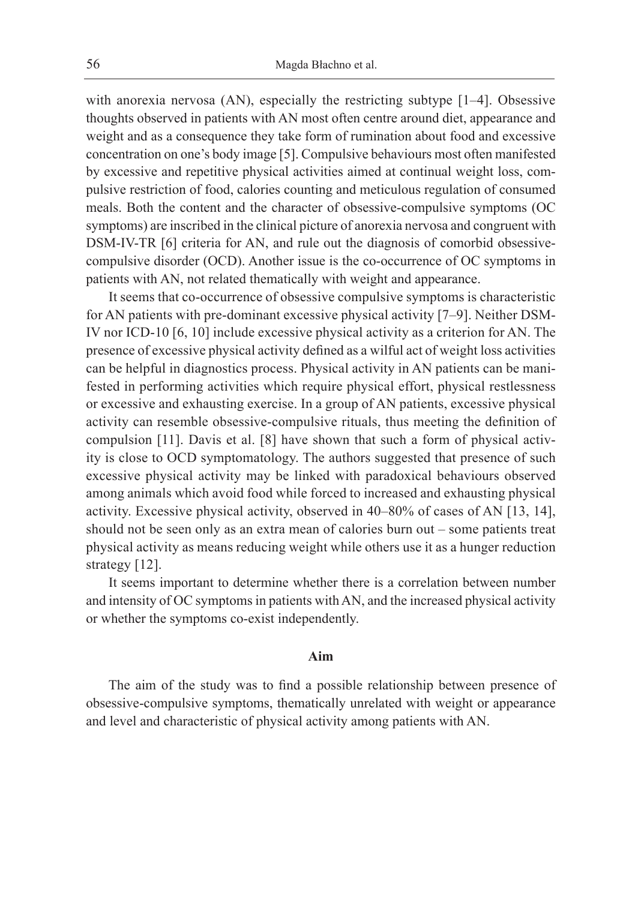with anorexia nervosa (AN), especially the restricting subtype [1–4]. Obsessive thoughts observed in patients with AN most often centre around diet, appearance and weight and as a consequence they take form of rumination about food and excessive concentration on one's body image [5]. Compulsive behaviours most often manifested by excessive and repetitive physical activities aimed at continual weight loss, compulsive restriction of food, calories counting and meticulous regulation of consumed meals. Both the content and the character of obsessive-compulsive symptoms (OC symptoms) are inscribed in the clinical picture of anorexia nervosa and congruent with DSM-IV-TR [6] criteria for AN, and rule out the diagnosis of comorbid obsessivecompulsive disorder (OCD). Another issue is the co-occurrence of OC symptoms in patients with AN, not related thematically with weight and appearance.

It seems that co-occurrence of obsessive compulsive symptoms is characteristic for AN patients with pre-dominant excessive physical activity [7–9]. Neither DSM-IV nor ICD-10 [6, 10] include excessive physical activity as a criterion for AN. The presence of excessive physical activity defined as a wilful act of weight loss activities can be helpful in diagnostics process. Physical activity in AN patients can be manifested in performing activities which require physical effort, physical restlessness or excessive and exhausting exercise. In a group of AN patients, excessive physical activity can resemble obsessive-compulsive rituals, thus meeting the definition of compulsion [11]. Davis et al. [8] have shown that such a form of physical activity is close to OCD symptomatology. The authors suggested that presence of such excessive physical activity may be linked with paradoxical behaviours observed among animals which avoid food while forced to increased and exhausting physical activity. Excessive physical activity, observed in 40–80% of cases of AN [13, 14], should not be seen only as an extra mean of calories burn out – some patients treat physical activity as means reducing weight while others use it as a hunger reduction strategy [12].

It seems important to determine whether there is a correlation between number and intensity of OC symptoms in patients with AN, and the increased physical activity or whether the symptoms co-exist independently.

# **Aim**

The aim of the study was to find a possible relationship between presence of obsessive-compulsive symptoms, thematically unrelated with weight or appearance and level and characteristic of physical activity among patients with AN.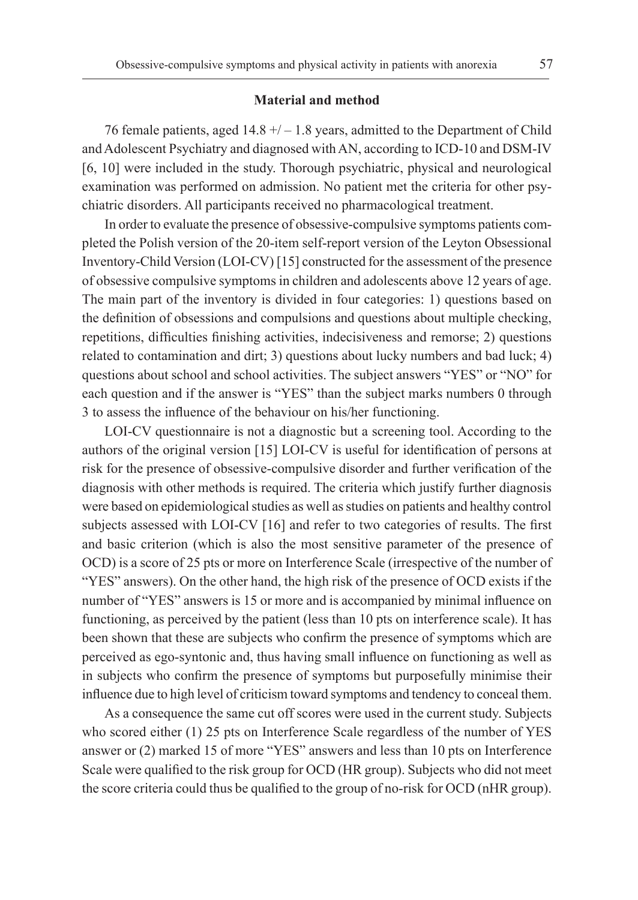# **Material and method**

76 female patients, aged  $14.8 + / - 1.8$  years, admitted to the Department of Child and Adolescent Psychiatry and diagnosed with AN, according to ICD-10 and DSM-IV [6, 10] were included in the study. Thorough psychiatric, physical and neurological examination was performed on admission. No patient met the criteria for other psychiatric disorders. All participants received no pharmacological treatment.

In order to evaluate the presence of obsessive-compulsive symptoms patients completed the Polish version of the 20-item self-report version of the Leyton Obsessional Inventory-Child Version (LOI-CV) [15] constructed for the assessment of the presence of obsessive compulsive symptoms in children and adolescents above 12 years of age. The main part of the inventory is divided in four categories: 1) questions based on the definition of obsessions and compulsions and questions about multiple checking, repetitions, difficulties finishing activities, indecisiveness and remorse; 2) questions related to contamination and dirt; 3) questions about lucky numbers and bad luck; 4) questions about school and school activities. The subject answers "YES" or "NO" for each question and if the answer is "YES" than the subject marks numbers 0 through 3 to assess the influence of the behaviour on his/her functioning.

LOI-CV questionnaire is not a diagnostic but a screening tool. According to the authors of the original version [15] LOI-CV is useful for identification of persons at risk for the presence of obsessive-compulsive disorder and further verification of the diagnosis with other methods is required. The criteria which justify further diagnosis were based on epidemiological studies as well as studies on patients and healthy control subjects assessed with LOI-CV [16] and refer to two categories of results. The first and basic criterion (which is also the most sensitive parameter of the presence of OCD) is a score of 25 pts or more on Interference Scale (irrespective of the number of "YES" answers). On the other hand, the high risk of the presence of OCD exists if the number of "YES" answers is 15 or more and is accompanied by minimal influence on functioning, as perceived by the patient (less than 10 pts on interference scale). It has been shown that these are subjects who confirm the presence of symptoms which are perceived as ego-syntonic and, thus having small influence on functioning as well as in subjects who confirm the presence of symptoms but purposefully minimise their influence due to high level of criticism toward symptoms and tendency to conceal them.

As a consequence the same cut off scores were used in the current study. Subjects who scored either (1) 25 pts on Interference Scale regardless of the number of YES answer or (2) marked 15 of more "YES" answers and less than 10 pts on Interference Scale were qualified to the risk group for OCD (HR group). Subjects who did not meet the score criteria could thus be qualified to the group of no-risk for OCD (nHR group).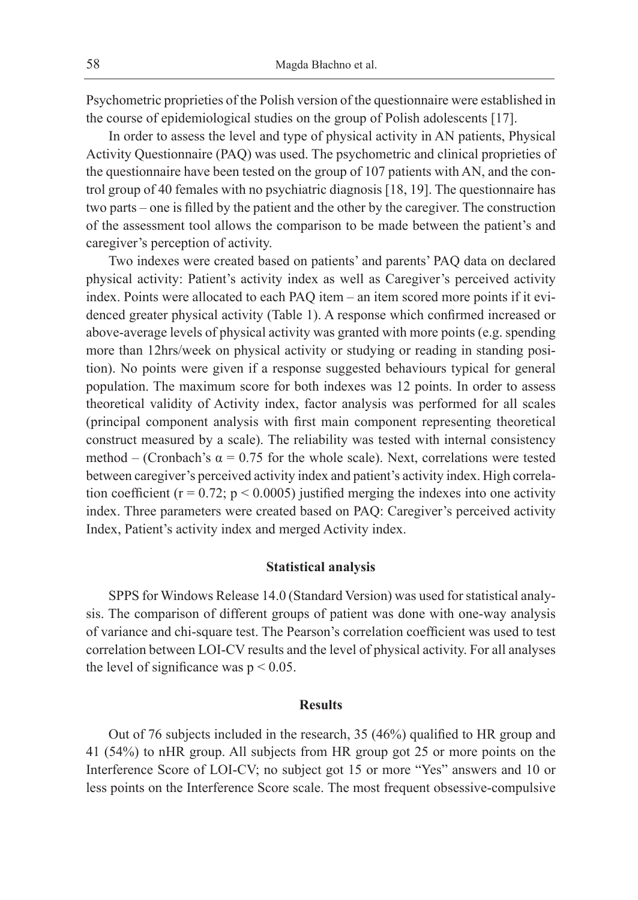Psychometric proprieties of the Polish version of the questionnaire were established in the course of epidemiological studies on the group of Polish adolescents [17].

In order to assess the level and type of physical activity in AN patients, Physical Activity Questionnaire (PAQ) was used. The psychometric and clinical proprieties of the questionnaire have been tested on the group of 107 patients with AN, and the control group of 40 females with no psychiatric diagnosis [18, 19]. The questionnaire has two parts – one is filled by the patient and the other by the caregiver. The construction of the assessment tool allows the comparison to be made between the patient's and caregiver's perception of activity.

Two indexes were created based on patients' and parents' PAQ data on declared physical activity: Patient's activity index as well as Caregiver's perceived activity index. Points were allocated to each PAQ item – an item scored more points if it evidenced greater physical activity (Table 1). A response which confirmed increased or above-average levels of physical activity was granted with more points (e.g. spending more than 12hrs/week on physical activity or studying or reading in standing position). No points were given if a response suggested behaviours typical for general population. The maximum score for both indexes was 12 points. In order to assess theoretical validity of Activity index, factor analysis was performed for all scales (principal component analysis with first main component representing theoretical construct measured by a scale). The reliability was tested with internal consistency method – (Cronbach's  $\alpha$  = 0.75 for the whole scale). Next, correlations were tested between caregiver's perceived activity index and patient's activity index. High correlation coefficient ( $r = 0.72$ ;  $p < 0.0005$ ) justified merging the indexes into one activity index. Three parameters were created based on PAQ: Caregiver's perceived activity Index, Patient's activity index and merged Activity index.

# **Statistical analysis**

SPPS for Windows Release 14.0 (Standard Version) was used for statistical analysis. The comparison of different groups of patient was done with one-way analysis of variance and chi-square test. The Pearson's correlation coefficient was used to test correlation between LOI-CV results and the level of physical activity. For all analyses the level of significance was  $p < 0.05$ .

#### **Results**

Out of 76 subjects included in the research, 35 (46%) qualified to HR group and 41 (54%) to nHR group. All subjects from HR group got 25 or more points on the Interference Score of LOI-CV; no subject got 15 or more "Yes" answers and 10 or less points on the Interference Score scale. The most frequent obsessive-compulsive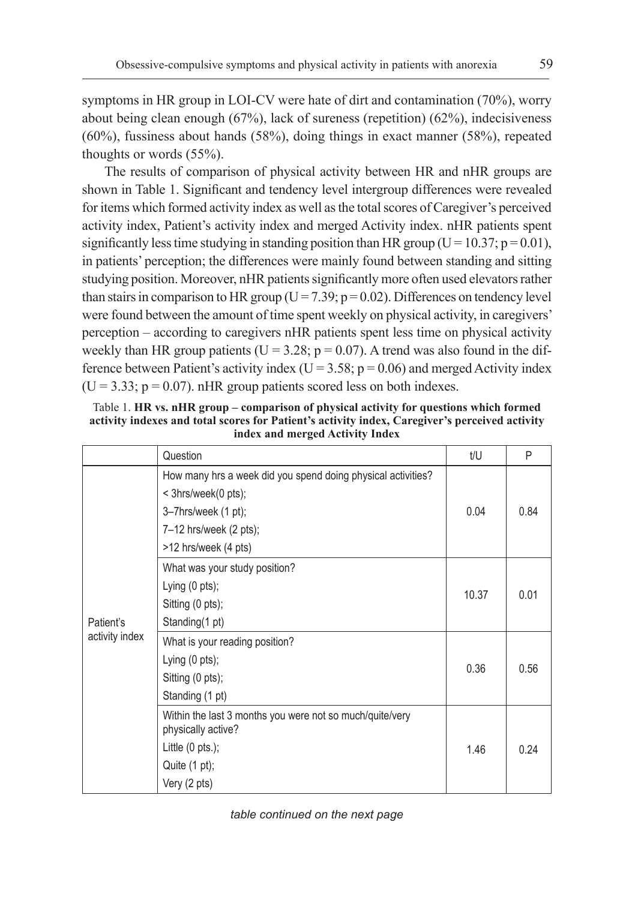symptoms in HR group in LOI-CV were hate of dirt and contamination (70%), worry about being clean enough (67%), lack of sureness (repetition) (62%), indecisiveness (60%), fussiness about hands (58%), doing things in exact manner (58%), repeated thoughts or words (55%).

The results of comparison of physical activity between HR and nHR groups are shown in Table 1. Significant and tendency level intergroup differences were revealed for items which formed activity index as well as the total scores of Caregiver's perceived activity index, Patient's activity index and merged Activity index. nHR patients spent significantly less time studying in standing position than HR group (U = 10.37;  $p = 0.01$ ), in patients' perception; the differences were mainly found between standing and sitting studying position. Moreover, nHR patients significantly more often used elevators rather than stairs in comparison to HR group ( $U = 7.39$ ;  $p = 0.02$ ). Differences on tendency level were found between the amount of time spent weekly on physical activity, in caregivers' perception – according to caregivers nHR patients spent less time on physical activity weekly than HR group patients ( $U = 3.28$ ;  $p = 0.07$ ). A trend was also found in the difference between Patient's activity index ( $U = 3.58$ ;  $p = 0.06$ ) and merged Activity index  $(U = 3.33; p = 0.07)$ . nHR group patients scored less on both indexes.

| muca anu mergeu Activity muca |                                                                                                                                                                        |       |      |  |  |
|-------------------------------|------------------------------------------------------------------------------------------------------------------------------------------------------------------------|-------|------|--|--|
|                               | Question                                                                                                                                                               | t/U   | P    |  |  |
| Patient's<br>activity index   | How many hrs a week did you spend doing physical activities?<br>< 3hrs/week(0 pts);<br>$3 - 7$ hrs/week $(1 pt)$ ;<br>$7-12$ hrs/week (2 pts);<br>>12 hrs/week (4 pts) | 0.04  | 0.84 |  |  |
|                               | What was your study position?<br>Lying (0 pts);<br>Sitting (0 pts);<br>Standing (1 pt)                                                                                 | 10.37 | 0.01 |  |  |
|                               | What is your reading position?<br>Lying $(0 \text{ pts})$ ;<br>Sitting (0 pts);<br>Standing (1 pt)                                                                     | 0.36  | 0.56 |  |  |
|                               | Within the last 3 months you were not so much/quite/very<br>physically active?<br>Little $(0 \text{ pts.})$ ;<br>Quite $(1 \text{ pt})$ ;<br>Very (2 pts)              | 1.46  | 0.24 |  |  |

Table 1. **HR vs. nHR group – comparison of physical activity for questions which formed activity indexes and total scores for Patient's activity index, Caregiver's perceived activity index and merged Activity Index**

*table continued on the next page*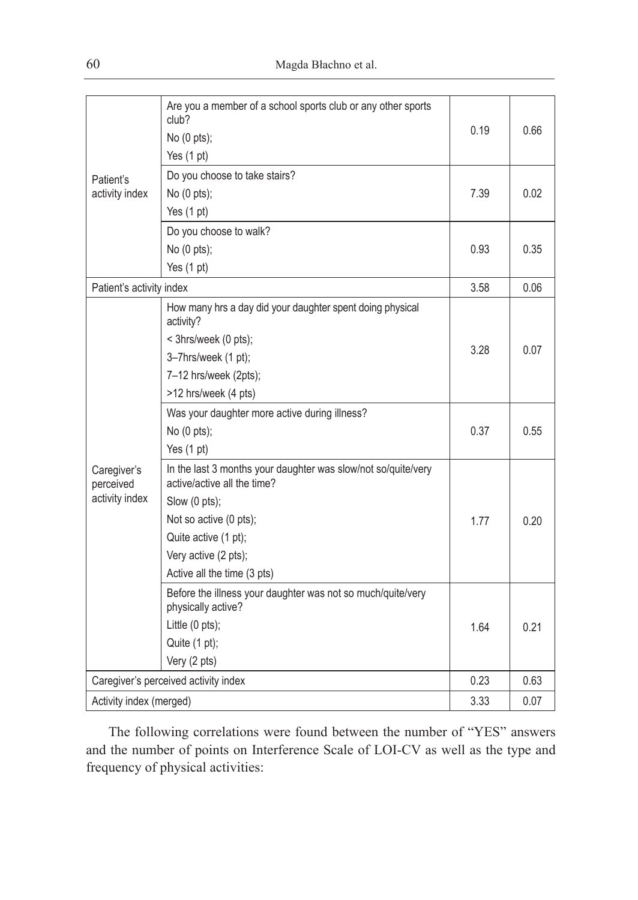| Patient's<br>activity index                | Are you a member of a school sports club or any other sports<br>club?<br>No (0 pts);         | 0.19 | 0.66 |
|--------------------------------------------|----------------------------------------------------------------------------------------------|------|------|
|                                            | Yes (1 pt)                                                                                   |      |      |
|                                            | Do you choose to take stairs?                                                                |      |      |
|                                            | No (0 pts);                                                                                  | 7.39 | 0.02 |
|                                            | Yes $(1 \text{ pt})$                                                                         |      |      |
|                                            | Do you choose to walk?                                                                       |      |      |
|                                            | No (0 pts);                                                                                  | 0.93 | 0.35 |
|                                            | Yes $(1 pt)$                                                                                 |      |      |
| Patient's activity index                   |                                                                                              | 3.58 | 0.06 |
| Caregiver's<br>perceived<br>activity index | How many hrs a day did your daughter spent doing physical<br>activity?                       |      |      |
|                                            | < 3hrs/week (0 pts);                                                                         |      |      |
|                                            | 3-7hrs/week (1 pt);                                                                          | 3.28 | 0.07 |
|                                            | 7-12 hrs/week (2pts);                                                                        |      |      |
|                                            | >12 hrs/week (4 pts)                                                                         |      |      |
|                                            | Was your daughter more active during illness?                                                |      |      |
|                                            | No (0 pts);                                                                                  | 0.37 | 0.55 |
|                                            | Yes $(1 \text{ pt})$                                                                         |      |      |
|                                            | In the last 3 months your daughter was slow/not so/quite/very<br>active/active all the time? |      |      |
|                                            | Slow (0 pts);                                                                                |      |      |
|                                            | Not so active (0 pts);                                                                       | 1.77 | 0.20 |
|                                            | Quite active (1 pt);                                                                         |      |      |
|                                            | Very active (2 pts);                                                                         |      |      |
|                                            | Active all the time (3 pts)                                                                  |      |      |
|                                            | Before the illness your daughter was not so much/quite/very<br>physically active?            |      |      |
|                                            | Little (0 pts);                                                                              | 1.64 | 0.21 |
|                                            | Quite (1 pt);                                                                                |      |      |
|                                            | Very (2 pts)                                                                                 |      |      |
| Caregiver's perceived activity index       |                                                                                              | 0.23 | 0.63 |
| Activity index (merged)                    |                                                                                              | 3.33 | 0.07 |

The following correlations were found between the number of "YES" answers and the number of points on Interference Scale of LOI-CV as well as the type and frequency of physical activities: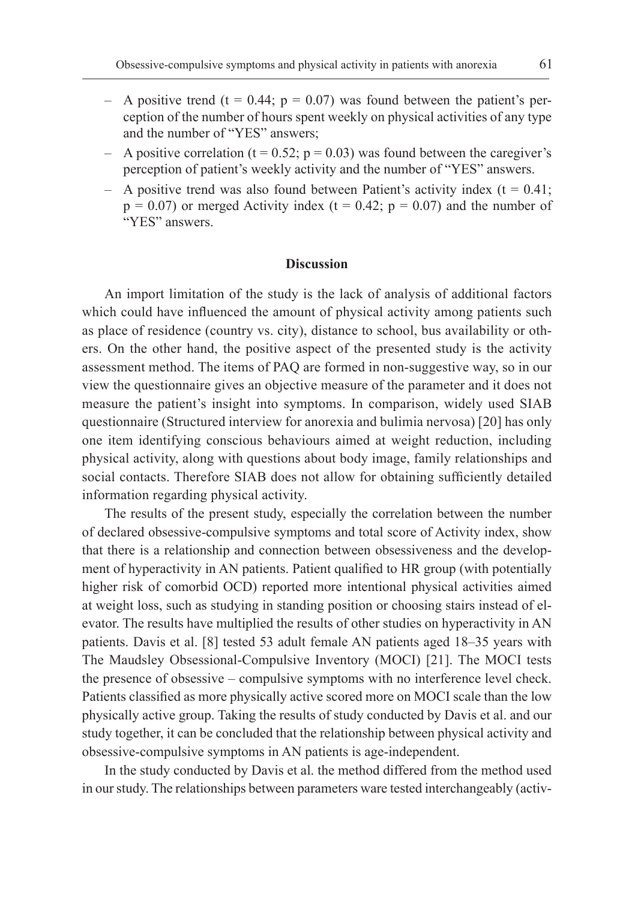- A positive trend (t =  $0.44$ ; p =  $0.07$ ) was found between the patient's perception of the number of hours spent weekly on physical activities of any type and the number of "YES" answers;
- A positive correlation ( $t = 0.52$ ;  $p = 0.03$ ) was found between the caregiver's perception of patient's weekly activity and the number of "YES" answers.
- $-$  A positive trend was also found between Patient's activity index ( $t = 0.41$ ;  $p = 0.07$ ) or merged Activity index (t = 0.42;  $p = 0.07$ ) and the number of "YES" answers.

# **Discussion**

An import limitation of the study is the lack of analysis of additional factors which could have influenced the amount of physical activity among patients such as place of residence (country vs. city), distance to school, bus availability or others. On the other hand, the positive aspect of the presented study is the activity assessment method. The items of PAQ are formed in non-suggestive way, so in our view the questionnaire gives an objective measure of the parameter and it does not measure the patient's insight into symptoms. In comparison, widely used SIAB questionnaire (Structured interview for anorexia and bulimia nervosa) [20] has only one item identifying conscious behaviours aimed at weight reduction, including physical activity, along with questions about body image, family relationships and social contacts. Therefore SIAB does not allow for obtaining sufficiently detailed information regarding physical activity.

The results of the present study, especially the correlation between the number of declared obsessive-compulsive symptoms and total score of Activity index, show that there is a relationship and connection between obsessiveness and the development of hyperactivity in AN patients. Patient qualified to HR group (with potentially higher risk of comorbid OCD) reported more intentional physical activities aimed at weight loss, such as studying in standing position or choosing stairs instead of elevator. The results have multiplied the results of other studies on hyperactivity in AN patients. Davis et al. [8] tested 53 adult female AN patients aged 18–35 years with The Maudsley Obsessional-Compulsive Inventory (MOCI) [21]. The MOCI tests the presence of obsessive – compulsive symptoms with no interference level check. Patients classified as more physically active scored more on MOCI scale than the low physically active group. Taking the results of study conducted by Davis et al. and our study together, it can be concluded that the relationship between physical activity and obsessive-compulsive symptoms in AN patients is age-independent.

In the study conducted by Davis et al. the method differed from the method used in our study. The relationships between parameters ware tested interchangeably (activ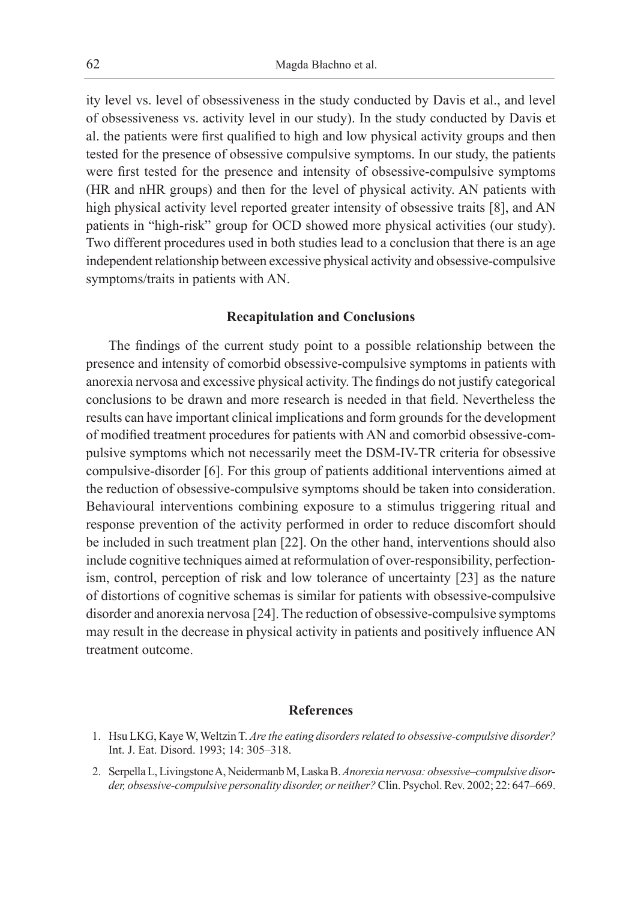ity level vs. level of obsessiveness in the study conducted by Davis et al., and level of obsessiveness vs. activity level in our study). In the study conducted by Davis et al. the patients were first qualified to high and low physical activity groups and then tested for the presence of obsessive compulsive symptoms. In our study, the patients were first tested for the presence and intensity of obsessive-compulsive symptoms (HR and nHR groups) and then for the level of physical activity. AN patients with high physical activity level reported greater intensity of obsessive traits [8], and AN patients in "high-risk" group for OCD showed more physical activities (our study). Two different procedures used in both studies lead to a conclusion that there is an age independent relationship between excessive physical activity and obsessive-compulsive symptoms/traits in patients with AN.

# **Recapitulation and Conclusions**

The findings of the current study point to a possible relationship between the presence and intensity of comorbid obsessive-compulsive symptoms in patients with anorexia nervosa and excessive physical activity. The findings do not justify categorical conclusions to be drawn and more research is needed in that field. Nevertheless the results can have important clinical implications and form grounds for the development of modified treatment procedures for patients with AN and comorbid obsessive-compulsive symptoms which not necessarily meet the DSM-IV-TR criteria for obsessive compulsive-disorder [6]. For this group of patients additional interventions aimed at the reduction of obsessive-compulsive symptoms should be taken into consideration. Behavioural interventions combining exposure to a stimulus triggering ritual and response prevention of the activity performed in order to reduce discomfort should be included in such treatment plan [22]. On the other hand, interventions should also include cognitive techniques aimed at reformulation of over-responsibility, perfectionism, control, perception of risk and low tolerance of uncertainty [23] as the nature of distortions of cognitive schemas is similar for patients with obsessive-compulsive disorder and anorexia nervosa [24]. The reduction of obsessive-compulsive symptoms may result in the decrease in physical activity in patients and positively influence AN treatment outcome.

# **References**

2. Serpella L, Livingstone A, Neidermanb M, Laska B. *Anorexia nervosa: obsessive–compulsive disorder, obsessive-compulsive personality disorder, or neither?* Clin. Psychol. Rev. 2002; 22: 647–669.

<sup>1.</sup> Hsu LKG, Kaye W, Weltzin T. *Are the eating disorders related to obsessive-compulsive disorder?*  Int. J. Eat. Disord. 1993; 14: 305–318.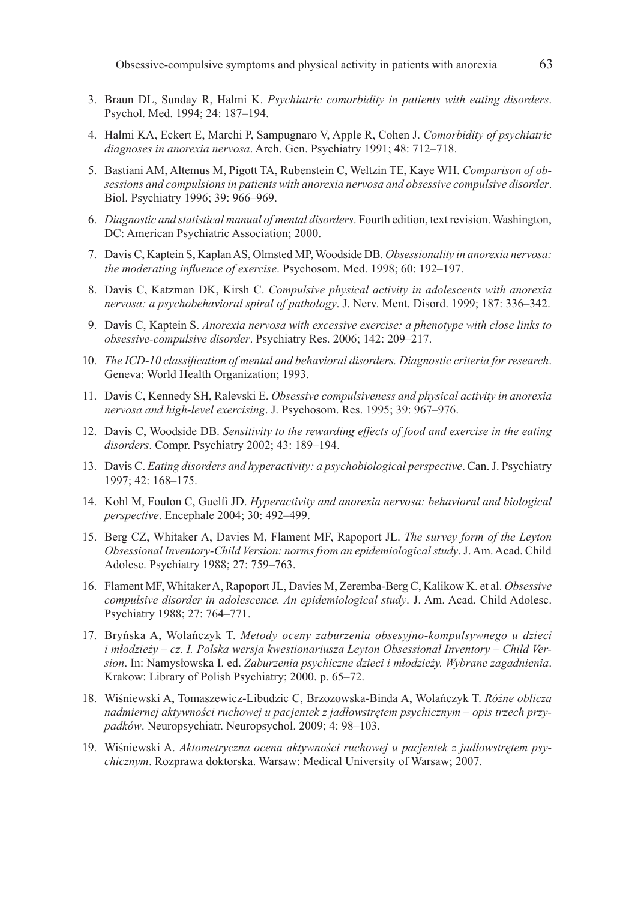- 3. Braun DL, Sunday R, Halmi K. *Psychiatric comorbidity in patients with eating disorders*. Psychol. Med. 1994; 24: 187–194.
- 4. Halmi KA, Eckert E, Marchi P, Sampugnaro V, Apple R, Cohen J. *Comorbidity of psychiatric diagnoses in anorexia nervosa*. Arch. Gen. Psychiatry 1991; 48: 712–718.
- 5. Bastiani AM, Altemus M, Pigott TA, Rubenstein C, Weltzin TE, Kaye WH. *Comparison of obsessions and compulsions in patients with anorexia nervosa and obsessive compulsive disorder*. Biol. Psychiatry 1996; 39: 966–969.
- 6. *Diagnostic and statistical manual of mental disorders*. Fourth edition, text revision. Washington, DC: American Psychiatric Association; 2000.
- 7. Davis C, Kaptein S, Kaplan AS, Olmsted MP, Woodside DB. *Obsessionality in anorexia nervosa: the moderating influence of exercise*. Psychosom. Med. 1998; 60: 192–197.
- 8. Davis C, Katzman DK, Kirsh C. *Compulsive physical activity in adolescents with anorexia nervosa: a psychobehavioral spiral of pathology*. J. Nerv. Ment. Disord. 1999; 187: 336–342.
- 9. Davis C, Kaptein S. *Anorexia nervosa with excessive exercise: a phenotype with close links to obsessive-compulsive disorder*. Psychiatry Res. 2006; 142: 209–217.
- 10. *The ICD-10 classification of mental and behavioral disorders. Diagnostic criteria for research*. Geneva: World Health Organization; 1993.
- 11. Davis C, Kennedy SH, Ralevski E. *Obsessive compulsiveness and physical activity in anorexia nervosa and high-level exercising*. J. Psychosom. Res. 1995; 39: 967–976.
- 12. Davis C, Woodside DB. *Sensitivity to the rewarding effects of food and exercise in the eating disorders*. Compr. Psychiatry 2002; 43: 189–194.
- 13. Davis C. *Eating disorders and hyperactivity: a psychobiological perspective*. Can. J. Psychiatry 1997; 42: 168–175.
- 14. Kohl M, Foulon C, Guelfi JD. *Hyperactivity and anorexia nervosa: behavioral and biological perspective*. Encephale 2004; 30: 492–499.
- 15. Berg CZ, Whitaker A, Davies M, Flament MF, Rapoport JL. *The survey form of the Leyton Obsessional Inventory-Child Version: norms from an epidemiological study*. J. Am. Acad. Child Adolesc. Psychiatry 1988; 27: 759–763.
- 16. Flament MF, Whitaker A, Rapoport JL, Davies M, Zeremba-Berg C, Kalikow K. et al. *Obsessive compulsive disorder in adolescence. An epidemiological study*. J. Am. Acad. Child Adolesc. Psychiatry 1988; 27: 764–771.
- 17. Bryńska A, Wolańczyk T. *Metody oceny zaburzenia obsesyjno-kompulsywnego u dzieci i młodzieży – cz. I. Polska wersja kwestionariusza Leyton Obsessional Inventory – Child Version*. In: Namysłowska I. ed. *Zaburzenia psychiczne dzieci i młodzieży. Wybrane zagadnienia*. Krakow: Library of Polish Psychiatry; 2000. p. 65–72.
- 18. Wiśniewski A, Tomaszewicz-Libudzic C, Brzozowska-Binda A, Wolańczyk T. *Różne oblicza nadmiernej aktywności ruchowej u pacjentek z jadłowstrętem psychicznym – opis trzech przypadków*. Neuropsychiatr. Neuropsychol. 2009; 4: 98–103.
- 19. Wiśniewski A. *Aktometryczna ocena aktywności ruchowej u pacjentek z jadłowstrętem psychicznym*. Rozprawa doktorska. Warsaw: Medical University of Warsaw; 2007.